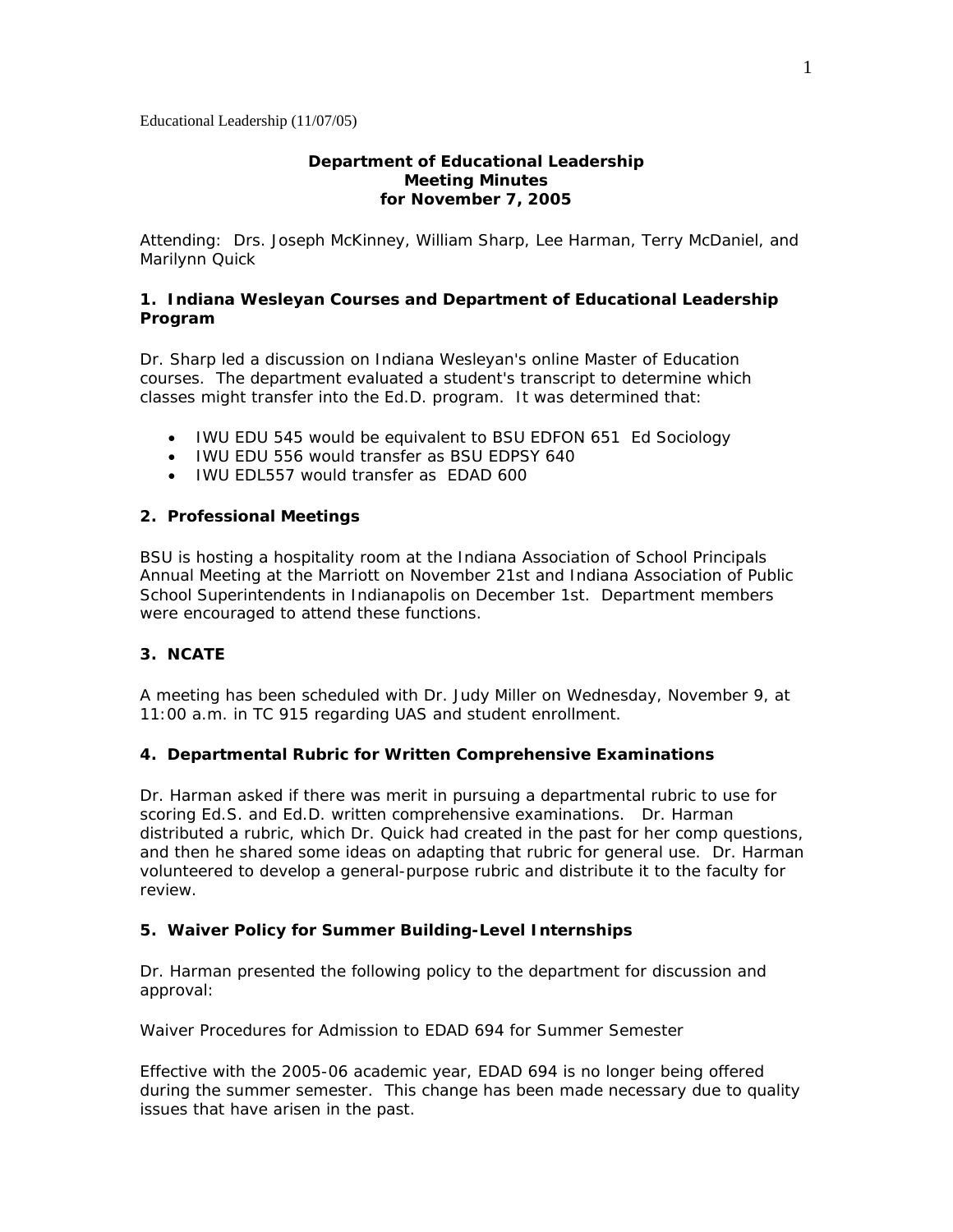## **Department of Educational Leadership Meeting Minutes for November 7, 2005**

Attending: Drs. Joseph McKinney, William Sharp, Lee Harman, Terry McDaniel, and Marilynn Quick

## **1. Indiana Wesleyan Courses and Department of Educational Leadership Program**

Dr. Sharp led a discussion on Indiana Wesleyan's online Master of Education courses. The department evaluated a student's transcript to determine which classes might transfer into the Ed.D. program. It was determined that:

- IWU EDU 545 would be equivalent to BSU EDFON 651 Ed Sociology
- IWU EDU 556 would transfer as BSU EDPSY 640
- IWU FDL557 would transfer as FDAD 600

#### **2. Professional Meetings**

BSU is hosting a hospitality room at the Indiana Association of School Principals Annual Meeting at the Marriott on November 21st and Indiana Association of Public School Superintendents in Indianapolis on December 1st. Department members were encouraged to attend these functions.

# **3. NCATE**

A meeting has been scheduled with Dr. Judy Miller on Wednesday, November 9, at 11:00 a.m. in TC 915 regarding UAS and student enrollment.

#### **4. Departmental Rubric for Written Comprehensive Examinations**

Dr. Harman asked if there was merit in pursuing a departmental rubric to use for scoring Ed.S. and Ed.D. written comprehensive examinations. Dr. Harman distributed a rubric, which Dr. Quick had created in the past for her comp questions, and then he shared some ideas on adapting that rubric for general use. Dr. Harman volunteered to develop a general-purpose rubric and distribute it to the faculty for review.

#### **5. Waiver Policy for Summer Building-Level Internships**

Dr. Harman presented the following policy to the department for discussion and approval:

## *Waiver Procedures for Admission to EDAD 694 for Summer Semester*

Effective with the 2005-06 academic year, EDAD 694 is no longer being offered during the summer semester. This change has been made necessary due to quality issues that have arisen in the past.